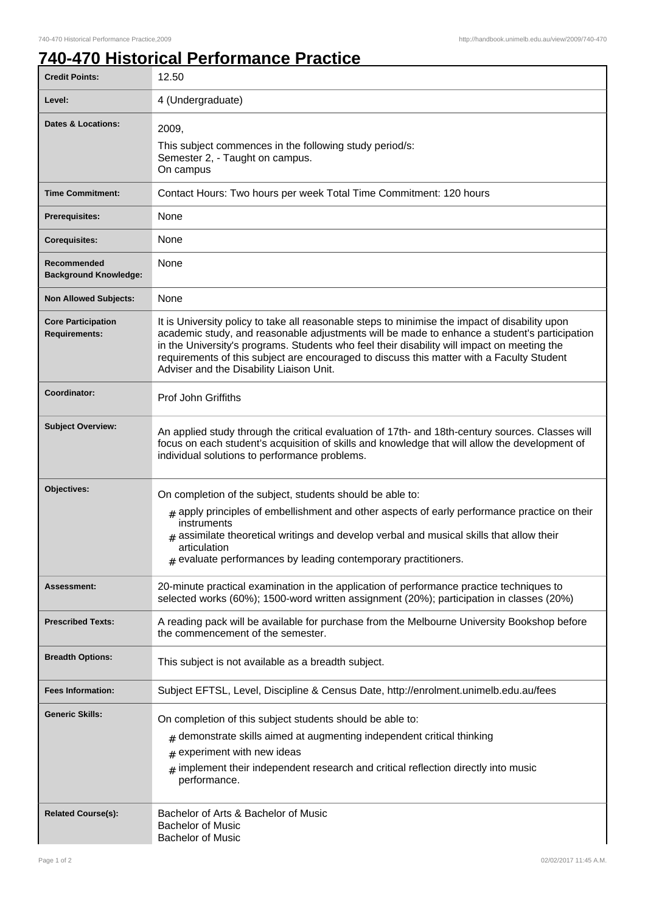## **740-470 Historical Performance Practice**

| <b>Credit Points:</b>                             | 12.50                                                                                                                                                                                                                                                                                                                                                                                                                                  |
|---------------------------------------------------|----------------------------------------------------------------------------------------------------------------------------------------------------------------------------------------------------------------------------------------------------------------------------------------------------------------------------------------------------------------------------------------------------------------------------------------|
| Level:                                            | 4 (Undergraduate)                                                                                                                                                                                                                                                                                                                                                                                                                      |
| Dates & Locations:                                | 2009,<br>This subject commences in the following study period/s:<br>Semester 2, - Taught on campus.<br>On campus                                                                                                                                                                                                                                                                                                                       |
| <b>Time Commitment:</b>                           | Contact Hours: Two hours per week Total Time Commitment: 120 hours                                                                                                                                                                                                                                                                                                                                                                     |
| <b>Prerequisites:</b>                             | None                                                                                                                                                                                                                                                                                                                                                                                                                                   |
| <b>Corequisites:</b>                              | None                                                                                                                                                                                                                                                                                                                                                                                                                                   |
| Recommended<br><b>Background Knowledge:</b>       | None                                                                                                                                                                                                                                                                                                                                                                                                                                   |
| <b>Non Allowed Subjects:</b>                      | None                                                                                                                                                                                                                                                                                                                                                                                                                                   |
| <b>Core Participation</b><br><b>Requirements:</b> | It is University policy to take all reasonable steps to minimise the impact of disability upon<br>academic study, and reasonable adjustments will be made to enhance a student's participation<br>in the University's programs. Students who feel their disability will impact on meeting the<br>requirements of this subject are encouraged to discuss this matter with a Faculty Student<br>Adviser and the Disability Liaison Unit. |
| Coordinator:                                      | Prof John Griffiths                                                                                                                                                                                                                                                                                                                                                                                                                    |
| <b>Subject Overview:</b>                          | An applied study through the critical evaluation of 17th- and 18th-century sources. Classes will<br>focus on each student's acquisition of skills and knowledge that will allow the development of<br>individual solutions to performance problems.                                                                                                                                                                                    |
| Objectives:                                       | On completion of the subject, students should be able to:<br>$_{\text{\#}}$ apply principles of embellishment and other aspects of early performance practice on their<br>instruments<br>$_{\texttt{\#}}$ assimilate theoretical writings and develop verbal and musical skills that allow their<br>articulation<br>$#$ evaluate performances by leading contemporary practitioners.                                                   |
| Assessment:                                       | 20-minute practical examination in the application of performance practice techniques to<br>selected works (60%); 1500-word written assignment (20%); participation in classes (20%)                                                                                                                                                                                                                                                   |
| <b>Prescribed Texts:</b>                          | A reading pack will be available for purchase from the Melbourne University Bookshop before<br>the commencement of the semester.                                                                                                                                                                                                                                                                                                       |
| <b>Breadth Options:</b>                           | This subject is not available as a breadth subject.                                                                                                                                                                                                                                                                                                                                                                                    |
| <b>Fees Information:</b>                          | Subject EFTSL, Level, Discipline & Census Date, http://enrolment.unimelb.edu.au/fees                                                                                                                                                                                                                                                                                                                                                   |
| <b>Generic Skills:</b>                            | On completion of this subject students should be able to:<br>demonstrate skills aimed at augmenting independent critical thinking<br>#<br>experiment with new ideas<br>#<br>implement their independent research and critical reflection directly into music<br>performance.                                                                                                                                                           |
| <b>Related Course(s):</b>                         | Bachelor of Arts & Bachelor of Music<br><b>Bachelor of Music</b><br><b>Bachelor of Music</b>                                                                                                                                                                                                                                                                                                                                           |